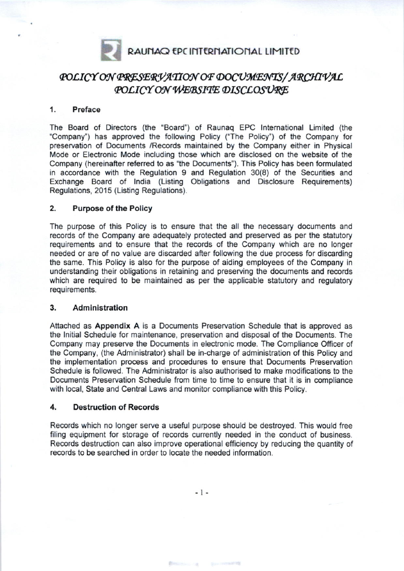

# POLICY ON PRESERVATION OF DOCUMENTS/ARCHIVAL<br>POLICY ON WEBSITE DISCLOSURE

#### '1. Preface

The Board of Oirectors (the 'Board') of Raunaq EPC lnternational Limited (the "Company") has approved the following Policy ("The Policy") of the Company for preservation of Documents /Records maintained by the Company either in Physical Mode or Electronic Mode including those which are disclosed on the website of the Company (hereinafter referred to as "the Documents"). This Policy has been formulated in accordance with the Regulation 9 and Regulation 30(8) of the Securities and Exchange Board of lndia (Listing Obligations and Disclosure Requirements) Regulations, 2015 (Listing Regulations).

#### 2. Purpose of the Policy

The purpose of this Policy is to ensure that the all the necessary documents and records of the Company are adequately protected and preserved as per the statutory requirements and to ensure that the records of the Company which are no longer needed or are of no value are discarded after following the due process for discarding the same. This Policy is also for the purpose of aiding employees of the Company in understanding their obligations in retaining and preserving the documents and records which are required to be maintained as per the applicable statutory and regulatory requirements.

#### 3. Administration

Attached as Appendix A is a Documents Preservation Schedule that is approved as the lnitial Schedule tor maintenance, preservation and disposal of the Documents. The Company may preserve the Documents in electronic mode. The Compliance Officer of the Company, (the Administrator) shall be in-charge of administration of this Policy and the implementation process and procedures to ensure that Documents Preservation Schedule is followed. The Administrator is also authorised to make modiflcations to the Documents Preservation Schedule from time to time to ensure that it is in compliance with local, State and Central Laws and monitor compliance with this Policy.

#### 4, Destruction of Records

Records which no longer serve a useful purpose should be destroyed. This would free filing equipment for storage of records currently needed in the conduct of business. Records destruction can also improve operational efficiency by reducing the quantity of records to be searched in order to locate the needed information.

 $-1-$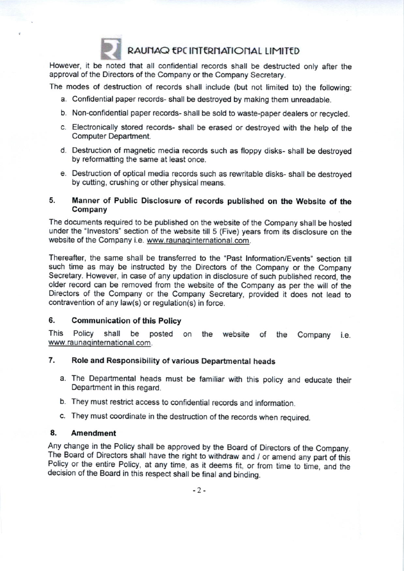

## RAUNAQ EPC INTERNATIONAL LIMITED

However, it be noted that all confidential records shall be destructed only after the approval of the Directors of the Company or the Company Secretary.

The modes of destruction of records shall include (but not limited to) the following:

- a. Confidential paper records- shall be destroyed by making them unreadable.
- b. Non-confidential paper records- shall be sold to waste-paper dealers or recycled.
- c. Electronically stored records- shall be erased or destroyed with the help of the Computer Departrnent.
- d. Oestruction of magnetic media records such as floppy disks- shall be destroyed by reformatting the same at least once.
- e. Destruction of optical media records such as rewritable disks- shall be destroyed by cutting, crushing or other physical means.

#### 5. Manner of Public Disclosure of records published on the Website of the Company

The documents required to be published on the website of the Company shall be hosted under the 'lnvestors' section of the website till 5 (Five) years from its disclosure on the website of the Company i.e. www.raunaqinternational.com.

Thereafter, the same shall be transferred to the "Past Information/Events" section till such time as may be instructed by the Directors of the Company or the Company Secretary. However, in case of any updation in disclosure of such published record, the older record can be removed from the website of the Company as per the will of the Directors of the Company or the Company Secretary, provided it does not lead to contravention of any law(s) or regulation(s) in force.

#### 6. Communication ot this Policy

This Policy shall be posted on the website of the Company i.e. www.raunaginternational.com.

#### 7. Role and Responsibility of various Departmental heads

- a. The Departmental heads must be familiar with this policy and educate their Oepartment in this regard.
- b. They must restrict access to confidential records and information.
- c. They must coordinate in the destruction of the records when required.

#### 8. Amendment

Any change in the Policy shall be approved by the Board of Directors of the Company. The Board of Directors shall have the right to withdraw and / or amend any part of this Policy or the entire Policy, at any time, as it deems fit, or from time to time, and the decision of the Board in this respect shall be final and binding.